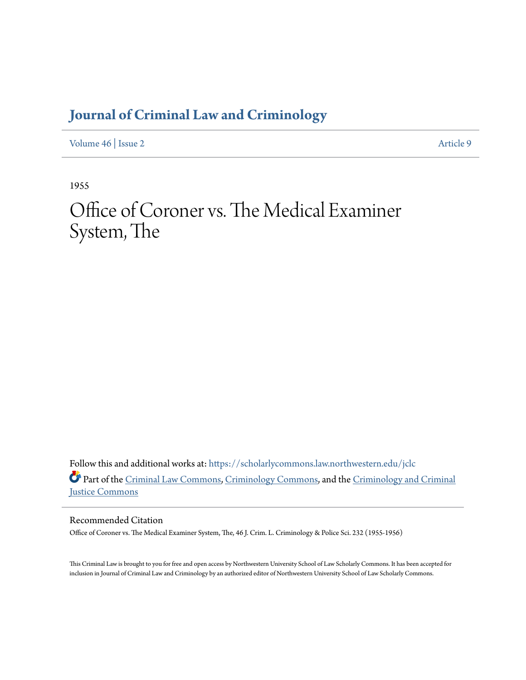## **[Journal of Criminal Law and Criminology](https://scholarlycommons.law.northwestern.edu/jclc?utm_source=scholarlycommons.law.northwestern.edu%2Fjclc%2Fvol46%2Fiss2%2F9&utm_medium=PDF&utm_campaign=PDFCoverPages)**

[Volume 46](https://scholarlycommons.law.northwestern.edu/jclc/vol46?utm_source=scholarlycommons.law.northwestern.edu%2Fjclc%2Fvol46%2Fiss2%2F9&utm_medium=PDF&utm_campaign=PDFCoverPages) | [Issue 2](https://scholarlycommons.law.northwestern.edu/jclc/vol46/iss2?utm_source=scholarlycommons.law.northwestern.edu%2Fjclc%2Fvol46%2Fiss2%2F9&utm_medium=PDF&utm_campaign=PDFCoverPages) [Article 9](https://scholarlycommons.law.northwestern.edu/jclc/vol46/iss2/9?utm_source=scholarlycommons.law.northwestern.edu%2Fjclc%2Fvol46%2Fiss2%2F9&utm_medium=PDF&utm_campaign=PDFCoverPages)

1955

## Office of Coroner vs. The Medical Examiner System, The

Follow this and additional works at: [https://scholarlycommons.law.northwestern.edu/jclc](https://scholarlycommons.law.northwestern.edu/jclc?utm_source=scholarlycommons.law.northwestern.edu%2Fjclc%2Fvol46%2Fiss2%2F9&utm_medium=PDF&utm_campaign=PDFCoverPages) Part of the [Criminal Law Commons](http://network.bepress.com/hgg/discipline/912?utm_source=scholarlycommons.law.northwestern.edu%2Fjclc%2Fvol46%2Fiss2%2F9&utm_medium=PDF&utm_campaign=PDFCoverPages), [Criminology Commons](http://network.bepress.com/hgg/discipline/417?utm_source=scholarlycommons.law.northwestern.edu%2Fjclc%2Fvol46%2Fiss2%2F9&utm_medium=PDF&utm_campaign=PDFCoverPages), and the [Criminology and Criminal](http://network.bepress.com/hgg/discipline/367?utm_source=scholarlycommons.law.northwestern.edu%2Fjclc%2Fvol46%2Fiss2%2F9&utm_medium=PDF&utm_campaign=PDFCoverPages) [Justice Commons](http://network.bepress.com/hgg/discipline/367?utm_source=scholarlycommons.law.northwestern.edu%2Fjclc%2Fvol46%2Fiss2%2F9&utm_medium=PDF&utm_campaign=PDFCoverPages)

Recommended Citation

Office of Coroner vs. The Medical Examiner System, The, 46 J. Crim. L. Criminology & Police Sci. 232 (1955-1956)

This Criminal Law is brought to you for free and open access by Northwestern University School of Law Scholarly Commons. It has been accepted for inclusion in Journal of Criminal Law and Criminology by an authorized editor of Northwestern University School of Law Scholarly Commons.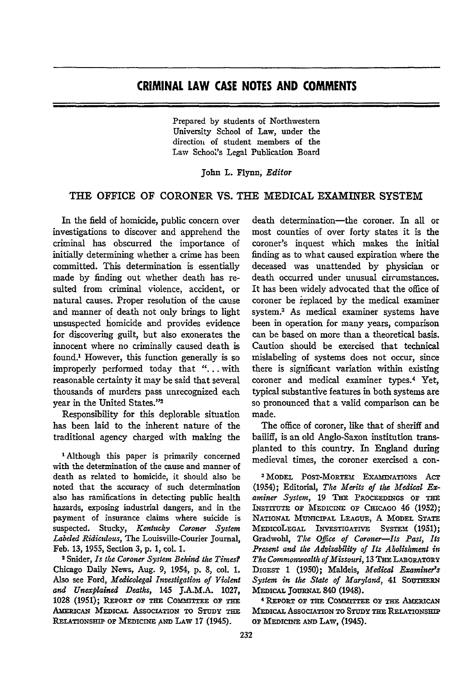Prepared by students of Northwestern University School of Law, under the direction of student members of the Law School's Legal Publication Board

John L. Flynn, *Editor*

## THE OFFICE OF CORONER **VS.** THE MEDICAL EXAMINER SYSTEM

In the field of homicide, public concern over investigations to discover and apprehend the criminal has obscurred the importance of initially determining whether a crime has been committed. This determination is essentially made by finding out whether death has resulted from criminal violence, accident, or natural causes. Proper resolution of the cause and manner of death not only brings to light unsuspected homicide and provides evidence for discovering guilt, but also exonerates the innocent where no criminally caused death is found.1 However, this function generally is so improperly performed today that ". . with reasonable certainty it may be said that several thousands of murders pass unrecognized each year in the United States."<sup>2</sup>

Responsibility for this deplorable situation has been laid to the inherent nature of the traditional agency charged with making the

<sup>1</sup> Although this paper is primarily concerned with the determination of the cause and manner of death as related to homicide, it should also be noted that the accuracy of such determination also has ramifications in detecting public health hazards, exposing industrial dangers, and in the payment of insurance claims where suicide is suspected. Stucky, *Kentucky Coroner System Labded Ridiculous,* The Louisville-Courier Journal, Feb. 13, 1955, Section 3, p. **1,** col. 1.

2 Snider, *Is the Coroner System Behind the Times?* Chicago Daily News, Aug. **9,** 1954, **p. 8,** col. **1.** Also see Ford, *Medicolegal Investigation of Violent and Unexplained Deaths,* 145 J.A.M.A. **1027,** 1028 (1951); REPORT OF THE COMMITTEE OF THE **AMERICAN MEDICAL ASSOCIATION TO STUDY THE RELATIONSHIP OF MEDICINE AND LAW 17 (1945).** 

death determination-the coroner. In all or most counties of over forty states it is the coroner's inquest which makes the initial finding as to what caused expiration where the deceased was unattended by physician or death occurred under unusual circumstances. It has been widely advocated that the office of coroner be replaced by the medical examiner system.3 As medical examiner systems have been in operation for many years, comparison can be based on more than a theoretical basis. Caution should be exercised that technical mislabeling of systems does not occur, since there is significant variation within existing coroner and medical examiner types.4 Yet, typical substantive features in both systems are so pronounced that a valid comparison can be made.

The office of coroner, like that of sheriff and bailiff, is an old Anglo-Saxon institution transplanted to this country. In England during medieval times, the coroner exercised a con-

**<sup>3</sup> MODEL POsT-MoRTEm ExAxwATIONS AcT** (1954); Editorial, *The Merits of the Medical Ex* $a$ miner System, 19 THE PROCEEDINGS OF THE **INsTrruTE OP MEDICINE OP CHicAGO** 46 **(1952);** NATIONAL **MUNICIPAL** LEAGUE, A MODEL **STATE MEDicoLEGAL INvESTIGATrVE** SYsTEm (1951); Gradwohl, *The Offce of Coroner-Its Past, Its Present and the Advisability of Its Abolishment in The Commonwealth of Missouri,* **13 THE** LABORATORY **DIGEST** 1 **(1950);** Maldeis, *Medical Examiner's*  $S$ ystem in the State of Maryland, 41 SOUTHERN **MEDIcAL JOURNAL** 840 (1948).

4 **REPORT OP THE COMmTTEE OP TE AMERICAN MEDICAL ASSOCIATION TO STUDY THE RELATIONSHIP** OF MEDICINE AND LAW, (1945).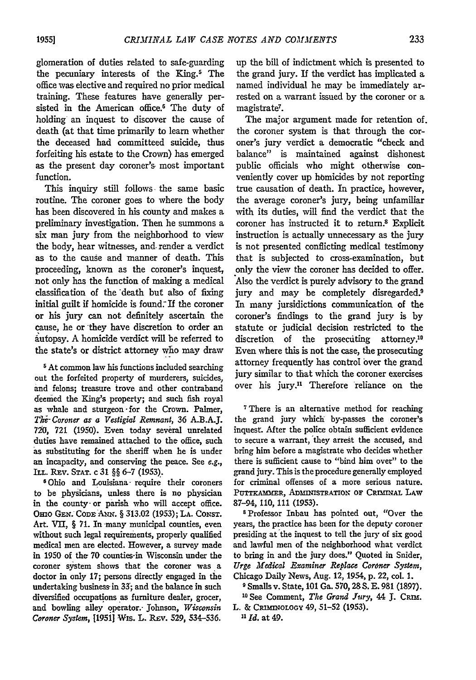glomeration of duties related to safe-guarding the pecuniary interests of the King.<sup>5</sup> The office was elective and required no prior medical training. These features have generally persisted in the American office.<sup>6</sup> The duty of holding an inquest to discover the cause of death (at that time primarily to learn whether the deceased had committeed suicide, thus forfeiting his estate to the Crown) has emerged as the present day coroner's most important function.

This inquiry still follows the same basic routine. The coroner goes to where the body has been discovered in his county and makes a preliminary investigation. Then he summons a six man jury from the neighborhood to view the body, hear witnesses, and, render a verdict as to the cause and manner of death. This proceeding, known as the coroner's inquest, not only has the function of making a medical classification of the -death but also of fixing initial guilt if homicide is found. If the coroner or his jury can not definitely ascertain the cause, he or "they have discretion to order an autopsy. A homicide verdict will be referred to the state's or district attorney who may draw

**5** At common law his functions included searching out the forfeited property of murderers, suicides, and felons; treasure trove and other contraband feemed the King's property; and such fish royal as whale and sturgeon -for the Crown. Palmer, The Coroner as a Vestigial Remnant, 36 A.B.A.J. **720, 721 (1950).** Even today several unrelated duties have remained attached to the office, such as substituting for the sheriff when he is under an incapacity, and conserving the peace. See e.g., ILL. Rxv. **STAT.** c 31 §§ 6-7 (1953).

6Ohio and Louisiana require their coroners to be physicians, unless there is no physician in the county- or parish who will accept office. **Omo** GEx. **CODE** -Awx. § 313.02 **(1953); LA. CONST.** Art. VII, § 71. In many municipal counties, even without such legal requirements, properly qualified medical men are elected. However, a survey made in 1950 of the **70** counties-in Wisconsin under the coroner system shows that the coroner was a doctor in only 17; persons directly engaged in the undertaking business in 33; and the balance in such diversified occupations as furniture dealer, grocer, and bowling alley operator.- Johnson, *Wisconsin* Coroner System, **[1951]** Wis. L. REv. **529,** 534-536.

up the bill of indictment which is presented to the grand jury. If the verdict has implicated a named individual he may be immediately arrested on a warrant issued by the coroner or a magistrate7.

The major argument made for retention of. the coroner system is that through the coroner's jury verdict a democratic "check and balance" is maintained against dishonest public officials who might otherwise conveniently cover up homicides by not reporting true causation of death. In practice, however, the average coroner's jury, being unfamiliar with its duties, will find the verdict that the coroner has instructed it to return.8 Explicit instruction is actually unnecessary as the jury is not presented conflicting medical testimony that is subjected to cross-examination, but only the view the coroner has decided to offer. Also the verdict is purely advisory to the grand jury and may be completely disregarded.<sup>9</sup> In many jursidictions communication of the coroner's findings to the grand jury is by statute or judicial decision restricted to the discretion of the prosecuting attorney.<sup>10</sup> Even where this is not the case, the prosecuting attorney frequently has control over the grand jury similar to that which the coroner exercises over his jury." Therefore reliance on the

<sup>7</sup> There is an alternative method for reaching the grand jury which by-passes the coroner's inquest. After the police obtain sufficient evidence to secure a warrant, they arrest the accused, and bring him before a magistrate who decides whether there is sufficient cause to "bind him over" to the grand jury. This is the procedure generally employed for criminal offenses of a more serious nature. PUTTKAMMER, ADMINISTRATION OF CRIMINAL LAW 87-94, **110, 111** (1953).

\$Professor Inbau has pointed out, "Over the years, the practice has been for the deputy coroner presiding at the inquest to tell the jury of six good and lawful men of the neighborhood what verdict to bring in and the jury does." Quoted in Snider, *Urge MIedical Eraminer Replace CorOner System,* Chicago Daily News, Aug. 12, 1954, **p.** 22, col. 1.

**9** Smalls v. State, **101** Ga. 570, 28 S. E. 981 (1897).

**10 See** Comment, *The Grand Jury,* 44 **J.** CRim. L. & **CRIMINOLOGY** 49, 51-52 (1953). *'1*

*1 d.* at 49.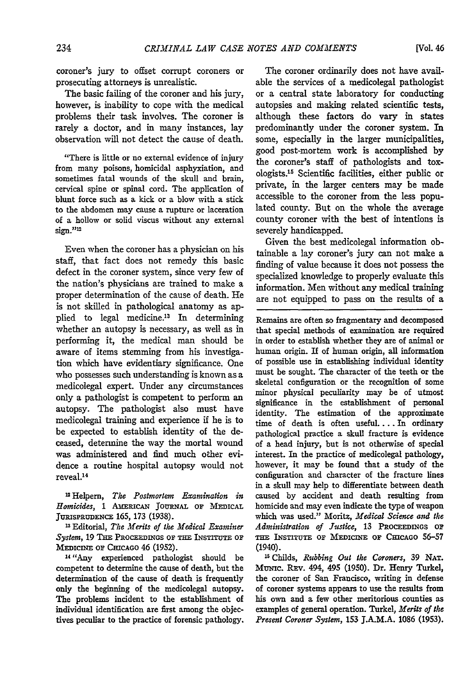coroner's jury to offset corrupt coroners or prosecuting attorneys is unrealistic.

The basic failing of the coroner and his jury, however, is inability to cope with the medical problems their task involves. The coroner is rarely a doctor, and in many instances, lay observation will not detect the cause of death.

"There is little or no external evidence of injury from many poisons, homicidal asphyxiation, and sometimes fatal wounds of the skull and brain, cervical spine or spinal cord. The application of blunt force such as a kick or a blow with a stick to the abdomen may cause a rupture or laceration of a hollow or solid viscus without any external  $sign.$  $"$ <sup>12</sup>

Even when the coroner has a physician on his staff, that fact does not remedy this basic defect in the coroner system, since very few of the nation's physicians are trained to make a proper determination of the cause of death. He is not skilled in pathological anatomy as applied to legal medicine.<sup>13</sup> In determining whether an autopsy is necessary, as well as in performing it, the medical man should be aware of items stemming from his investigation which have evidentiary significance. One who possesses such understanding is known as a medicolegal expert. Under any circumstances only a pathologist is competent to perform an autopsy. The pathologist also must have medicolegal training and experience if he is to be expected to establish identity of the deceased, determine the way the mortal wound was administered and find much other evidence a routine hospital autopsy would not reveal.<sup>14</sup>

12Helpern, *The Postmortem Examination in*  $Homicides, 1$  AMERICAN JOURNAL OF MEDICAL **JURISPRUDENCE 165, 173 (1938).**

**<sup>13</sup>**Editorial, *The Merits of the Medical Examiner System,* **19 TE PROCEEDINGS OF THE INSTITUTE OF MEDICINE OF CHICAGO 46 (1952).** 

1" "Any experienced pathologist should be competent to determine the cause of death, but the determination of the cause of death is frequently only the beginning of the medicolegal autopsy. The problems incident to the establishment of individual identification are first among the objectives peculiar to the practice of forensic pathology.

The coroner ordinarily does not have available the services of a medicolegal pathologist or a central state laboratory for conducting autopsies and making related scientific tests, although these factors do vary in states predominantly under the coroner system. **In** some, especially in the larger municipalities, good post-mortem work is accomplished by the coroner's staff of pathologists and toxologists.1" Scientific facilities, either public or private, in the larger centers may be made accessible to the coroner from the less populated county. But on the whole the average county coroner with the best of intentions is severely handicapped.

Given the best medicolegal information obtainable a lay coroner's jury can not make a finding of value because it does not possess the specialized knowledge to properly evaluate this information. Men without any medical training are not equipped to pass on the results of a

Remains are often so fragmentary and decomposed that special methods of examination are required in order to establish whether they are of animal or human origin. If of human origin, all information of possible use in establishing individual identity must be sought. The character of the teeth or the skeletal configuration or the recognition of some minor physical peculiarity may be of utmost significance in the establishment of personal identity. The estimation of the approximate time of death is often useful.... In ordinary pathological practice a skull fracture is evidence of a head injury, but is not otherwise of special interest. In the practice of medicolegal pathology, however, it may be found that a study of the configuration and character of the fracture lines in a skull may help to differentiate between death caused **by** accident and death resulting from homicide and may even indicate the type of weapon which was used." Moritz, *Medical Science and the Administration of Justice,* **13** PROCEEDINGS **OF T INSTITUTE OF** MEDICINE **OF CIIICAGO** 56-57 (1940).

**15** Childs, *Rubbing Out the Coroners,* 39 **NAT.** MUNIc. REv. 494, 495 (1950). Dr. Henry Turkel, the coroner of San Francisco, writing in defense of coroner systems appears to use the results from his own and a few other meritorious counties as examples of general operation. Turkel, *Merits of the Present Coroner System,* 153 J.A.M.A. 1086 (1953).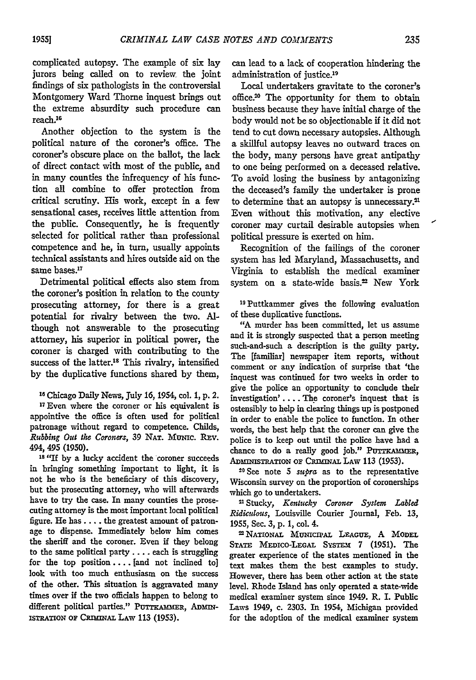complicated autopsy. The example of six lay jurors being called on to review the joint findings of six pathologists in the controversial Montgomery Ward Thorne inquest brings out the extreme absurdity such procedure can reach.<sup>16</sup>

Another objection to the system is the political nature of the coroner's office. The coroner's obscure place on the ballot, the lack of direct contact with most of the public, and in many counties the infrequency of his function all combine to offer protection from critical scrutiny. His work, except in a few sensational cases, receives little attention from the public. Consequently, he is frequently selected for political rather than professional competence and he, in turn, usually appoints technical assistants and hires outside aid on the same bases.<sup>17</sup>

Detrimental political effects also stem from the coroner's position in relation to the county prosecuting attorney, for there is a great potential for rivalry between the two. Although not answerable to the prosecuting attorney, his superior in political power, the coroner is charged with contributing to the success of the latter.'8 This rivalry, intensified by the duplicative functions shared by them,

**I <sup>8</sup>**Chicago Daily News, July 16, 1954, col. 1, **p.** 2.

**17** Even where the coroner or his equivalent is appointive the office is often used for political patronage without regard to competence. Childs, *Rubing Out the Coroners,* **39 NAT.** Muzic. Rzv. 494, 495 **(1950).**

**18 "If by** a lucky accident the coroner succeeds in bringing something important to light, it is not he who is the beneficiary of this discovery, but the prosecuting attorney, who will afterwards have to try the case. In many counties the prosecuting attorney is the most important local political figure. He has **....** the greatest amount of patronage to dispense. Immediately below him comes the sheriff and the coroner. Even if they belong to the same political party **....** each is struggling for the top position .... [and not inclined **to]** look with too much enthusiasm on the success of the other. This situation is aggravated many times over if the two officials happen to belong to different political parties." PUTTKAMMER, ADMIN-IsTRATION **OF CRIMINAL LAW 113 (1953).**

can lead to a lack of cooperation hindering the administration of justice.<sup>19</sup>

Local undertakers gravitate to the coroner's office.2 The opportunity for them to obtain business because they have initial charge of the body would not be so objectionable if it did not tend to cut down necessary autopsies. Although a skillful autopsy leaves no outward traces on the body, many persons have great antipathy to one being performed on a deceased relative. To avoid losing the business by antagonizing the deceased's family the undertaker is prone to determine that an autopsy is unnecessary.<sup>21</sup> Even without this motivation, any elective coroner may curtail desirable autopsies when political pressure is exerted on him.

Recognition of the failings of the coroner system has led Maryland, Massachusetts, and Virginia to establish the medical examiner system on a state-wide basis.<sup>22</sup> New York

19Puttkammer gives the following evaluation of these duplicative functions.

"A murder has been committed, let us assume and it is strongly suspected that a person meeting such-and-such a description is the guilty party. The [familiar] newspaper item reports, without comment or any indication of surprise that 'the inquest was continued for two weeks in order to give the police an opportunity to conclude their investigation'. ... The coroner's inquest that is ostensibly to help in clearing things up is postponed in order to enable the police to function. In other words, the best help that the coroner can give the police is to keep out until the police have had a chance to do a really good job." PUTTKAMMER, ADMINISTRATION OF CRIMINAL LAW 113 (1953).

20 See note **5** supra as to the representative Wisconsin survey on the proportion of coronerships which go to undertakers.

"Stucky, *Kentucky Coroner System Labled Ridicdous,* Louisville Courier journal, Feb. **13, 1955, Sec. 3, p. 1, col. 4. EXAMPLE 1955, Sec. 3, p. 1, col. 4. LEAGUE, A** MODEL

STATE MEDICO-LEGAL SYSTEM 7 (1951). The greater experience of the states mentioned in the text makes them the best examples to study. However, there has been other action at the state level. Rhode Island has only operated a state-wide medical examiner system since 1949. R. I. Public Laws 1949, c. **2303.** In 1954, Michigan provided for the adoption of the medical examiner system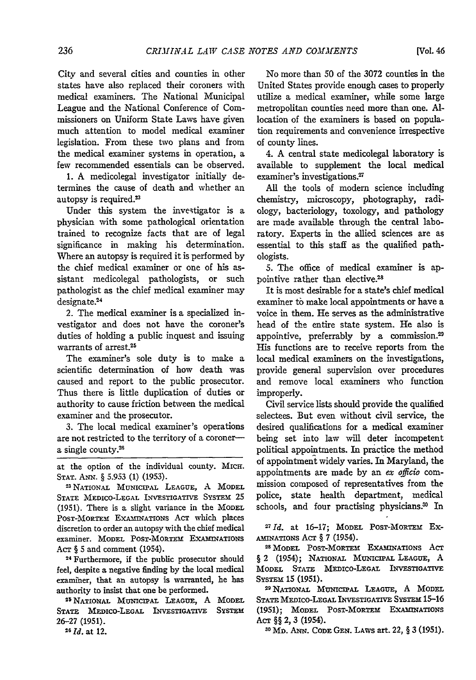City and several cities and counties in other states have also replaced their coroners with

medical examiners. The National Municipal League and the National Conference of Commissioners on Uniform State Laws have given much attention to model medical examiner legislation. From these two plans and from the medical examiner systems in operation, a few recommended essentials can be observed.

1. A medicolegal investigator initially determines the cause of death and whether an autopsy is required.<sup>23</sup>

Under this system the investigator is a physician with some pathological orientation trained to recognize facts that are of legal significance in making his determination. Where an autopsy is required it is performed by the chief medical examiner or one of his assistant medicolegal pathologists, or such pathologist as the chief medical examiner may designate.<sup>24</sup>

2. The medical examiner is a specialized investigator and does not have the coroner's duties of holding a public inquest and issuing warrants of arrest.25

The examiner's sole duty is to make a scientific determination of how death was caused and report to the public prosecutor. Thus there is little duplication of duties or authority to cause friction between the medical examiner and the prosecutor.

3. The local medical examiner's operations are not restricted to the territory of a coronera single county.<sup>26</sup>

at the option of the individual county. MIcH. **STAT. ANN.** § 5.953 (1) (1953).

**2** NATIONAL MUNICIPAL LEAGUE, A MODEL **STATE** MEDIco-LEGAL INVESTIGATIVE SYSTEM 25 (1951). There is a slight variance in the MODEL PosT-MORTEm EXAmINATIONs ACT which places discretion to order an autopsy with the chief medical examiner. MODEL POST-MORTEM EXAMINATIONS ACT § **5** and comment (1954).

**<sup>24</sup>**Furthermore, if the public prosecutor should feel, despite a negative finding by the local medical examiner, that an autopsy is warranted, he has

authority to insist that one be performed. **<sup>2</sup> <sup>5</sup>**NATIONAL MUNICIPAL LEAGUE, A MODEL STATE MEDICO-LEGAL INVESTIGATIVE SYSTEM **26-27** (1951). *<sup>2</sup>*

*6 Id.* at 12.

No more than 50 of the 3072 counties in the United States provide enough cases to properly utilize a medical examiner, while some large metropolitan counties need more than one. Allocation of the examiners is based on population requirements and convenience irrespective of county lines.

4. A central state medicolegal laboratory is available to supplement the local medical examiner's investigations.<sup>27</sup>

All the tools of modem science including chemistry, microscopy, photography, radiology, bacteriology, toxology, and pathology are made available through the central laboratory. Experts in the allied sciences are as essential to this staff as the qualified pathologists.

5. The office of medical examiner is appointive rather than elective.<sup>28</sup>

It is most desirable for a state's chief medical examiner to make local appointments or have a voice in them. He serves as the administrative head of the entire state system. He also is appointive, preferrably by a commission.<sup>29</sup> His functions are to receive reports from the local medical examiners on the investigations, provide general supervision over procedures and remove local examiners who function improperly.

Civil service lists should provide the qualified selectees. But even without civil service, the desired qualifications for a medical examiner being set into law will deter incompetent political appointments. In practice the method of appointment widely varies. In Maryland, the appointments are made by an *ex officio* commission composed of representatives from the police, state health department, medical schools, and four practising physicians.<sup>30</sup> In

<sup>27</sup> Id. at 16-17; MODEL POST-MORTEM Ex-

AMINATIONS ACT § 7 (1954).<br><sup>28</sup> MODEL POST-MORTEM EXAMINATIONS ACT § 2 (1954); NATIONAL MUNICIPAL **LEAGUE,** A MODEL STATE MEDIcO-LEGAL INVESTIGATIVE

SYSTEM 15 (1951).<br><sup>29</sup> NATIONAL MUNICIPAL LEAGUE, A MODEL **STATE** MEDIco-LEGAL INVESTIGATIVE SYSTEM 15-16 (1951); MODEL PosT-MoRTEM ExAmINATIONS ACT §§ 2, 3 (1954).

**3**  <sup>0</sup> MD. ANN. CODE **GEN.** LAWS art. 22, § **3 (1951).**